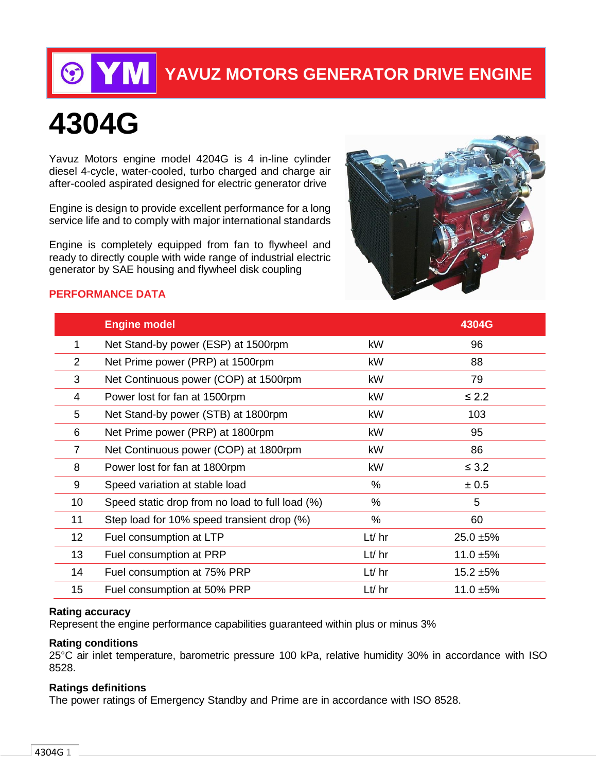

# **YAVUZ MOTORS GENERATOR DRIVE ENGINE**

# **4304G**

Yavuz Motors engine model 4204G is 4 in-line cylinder diesel 4-cycle, water-cooled, turbo charged and charge air after-cooled aspirated designed for electric generator drive

Engine is design to provide excellent performance for a long service life and to comply with major international standards

Engine is completely equipped from fan to flywheel and ready to directly couple with wide range of industrial electric generator by SAE housing and flywheel disk coupling



#### **PERFORMANCE DATA**

|                 | <b>Engine model</b>                               |             | 4304G        |
|-----------------|---------------------------------------------------|-------------|--------------|
| 1               | Net Stand-by power (ESP) at 1500rpm               | kW          | 96           |
| $\overline{2}$  | kW<br>88<br>Net Prime power (PRP) at 1500rpm      |             |              |
| 3               | Net Continuous power (COP) at 1500rpm<br>kW<br>79 |             |              |
| 4               | $\leq$ 2.2<br>kW<br>Power lost for fan at 1500rpm |             |              |
| 5               | Net Stand-by power (STB) at 1800rpm               | kW          | 103          |
| 6               | Net Prime power (PRP) at 1800rpm                  | kW          | 95           |
| $\overline{7}$  | Net Continuous power (COP) at 1800rpm             | kW          | 86           |
| 8               | Power lost for fan at 1800rpm                     | kW          | $\leq$ 3.2   |
| 9               | Speed variation at stable load                    | %           | ± 0.5        |
| 10              | Speed static drop from no load to full load (%)   | $\%$        | 5            |
| 11              | Step load for 10% speed transient drop (%)        | %           | 60           |
| 12 <sub>2</sub> | Fuel consumption at LTP                           | $Lt$ / $hr$ | $25.0 + 5%$  |
| 13              | Fuel consumption at PRP                           | Lt/hr       | 11.0 $±5\%$  |
| 14              | Fuel consumption at 75% PRP                       | $Lt$ hr     | $15.2 + 5%$  |
| 15              | Fuel consumption at 50% PRP                       | $Lt$ / $hr$ | $11.0 + 5\%$ |

#### **Rating accuracy**

Represent the engine performance capabilities guaranteed within plus or minus 3%

#### **Rating conditions**

25°C air inlet temperature, barometric pressure 100 kPa, relative humidity 30% in accordance with ISO 8528.

#### **Ratings definitions**

The power ratings of Emergency Standby and Prime are in accordance with ISO 8528.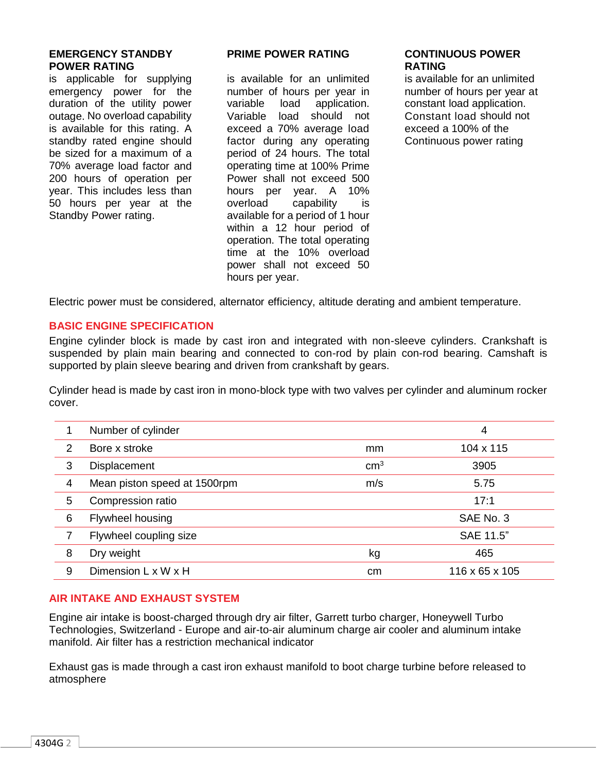#### **EMERGENCY STANDBY POWER RATING**

is applicable for supplying emergency power for the duration of the utility power outage. No overload capability is available for this rating. A standby rated engine should be sized for a maximum of a 70% average load factor and 200 hours of operation per year. This includes less than 50 hours per year at the Standby Power rating.

#### **PRIME POWER RATING**

is available for an unlimited number of hours per year in<br>variable load application. variable load Variable load should not exceed a 70% average load factor during any operating period of 24 hours. The total operating time at 100% Prime Power shall not exceed 500 hours per year. A 10% overload capability is available for a period of 1 hour within a 12 hour period of operation. The total operating time at the 10% overload power shall not exceed 50 hours per year.

#### **CONTINUOUS POWER RATING**

is available for an unlimited number of hours per year at constant load application. Constant load should not exceed a 100% of the Continuous power rating

Electric power must be considered, alternator efficiency, altitude derating and ambient temperature.

# **BASIC ENGINE SPECIFICATION**

Engine cylinder block is made by cast iron and integrated with non-sleeve cylinders. Crankshaft is suspended by plain main bearing and connected to con-rod by plain con-rod bearing. Camshaft is supported by plain sleeve bearing and driven from crankshaft by gears.

Cylinder head is made by cast iron in mono-block type with two valves per cylinder and aluminum rocker cover.

|                | Number of cylinder           |                 | 4              |
|----------------|------------------------------|-----------------|----------------|
| 2              | Bore x stroke                | mm              | 104 x 115      |
| 3              | <b>Displacement</b>          | cm <sup>3</sup> | 3905           |
| $\overline{4}$ | Mean piston speed at 1500rpm | m/s             | 5.75           |
| 5              | Compression ratio            |                 | 17:1           |
| 6              | Flywheel housing             |                 | SAE No. 3      |
| 7              | Flywheel coupling size       |                 | SAE 11.5"      |
| 8              | Dry weight                   | kg              | 465            |
| 9              | Dimension L x W x H          | cm              | 116 x 65 x 105 |

# **AIR INTAKE AND EXHAUST SYSTEM**

Engine air intake is boost-charged through dry air filter, Garrett turbo charger, Honeywell Turbo Technologies, Switzerland - Europe and air-to-air aluminum charge air cooler and aluminum intake manifold. Air filter has a restriction mechanical indicator

Exhaust gas is made through a cast iron exhaust manifold to boot charge turbine before released to atmosphere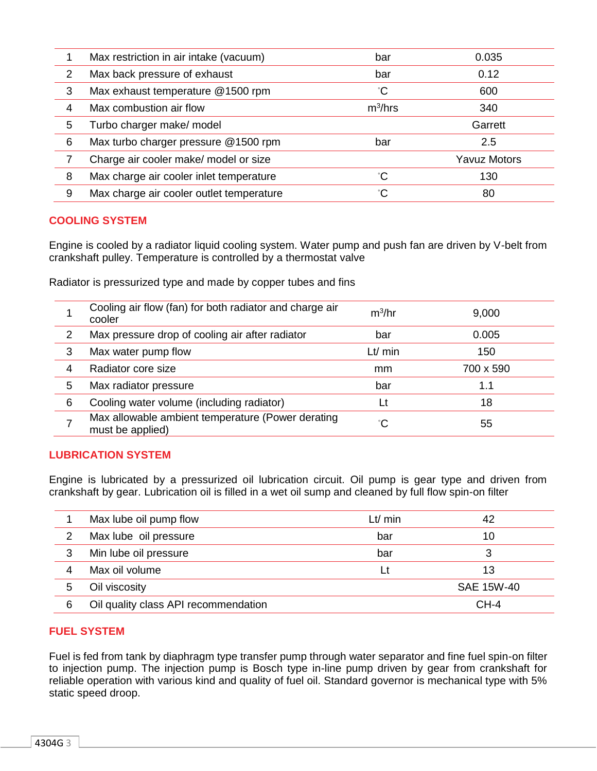|   | Max restriction in air intake (vacuum)   | bar          | 0.035               |
|---|------------------------------------------|--------------|---------------------|
| 2 | Max back pressure of exhaust             | bar          | 0.12                |
| 3 | Max exhaust temperature @1500 rpm        | °С           | 600                 |
| 4 | Max combustion air flow                  | $m^3/hrs$    | 340                 |
| 5 | Turbo charger make/ model                |              | Garrett             |
| 6 | Max turbo charger pressure @1500 rpm     | bar          | 2.5                 |
|   | Charge air cooler make/ model or size    |              | <b>Yavuz Motors</b> |
| 8 | Max charge air cooler inlet temperature  | °С           | 130                 |
| 9 | Max charge air cooler outlet temperature | $^{\circ}$ C | 80                  |

# **COOLING SYSTEM**

Engine is cooled by a radiator liquid cooling system. Water pump and push fan are driven by V-belt from crankshaft pulley. Temperature is controlled by a thermostat valve

Radiator is pressurized type and made by copper tubes and fins

|   | Cooling air flow (fan) for both radiator and charge air<br>cooler     | $m^3/hr$ | 9,000     |
|---|-----------------------------------------------------------------------|----------|-----------|
| 2 | Max pressure drop of cooling air after radiator                       | bar      | 0.005     |
| 3 | Max water pump flow                                                   | Lt/min   | 150       |
|   | Radiator core size                                                    | mm       | 700 x 590 |
| 5 | Max radiator pressure                                                 | bar      | 1.1       |
| 6 | Cooling water volume (including radiator)                             | Lt       | 18        |
|   | Max allowable ambient temperature (Power derating<br>must be applied) |          | 55        |

# **LUBRICATION SYSTEM**

Engine is lubricated by a pressurized oil lubrication circuit. Oil pump is gear type and driven from crankshaft by gear. Lubrication oil is filled in a wet oil sump and cleaned by full flow spin-on filter

|   | Max lube oil pump flow               | Lt/min | 42         |
|---|--------------------------------------|--------|------------|
|   | Max lube oil pressure                | bar    | 10         |
|   | Min lube oil pressure                | bar    | 3          |
|   | Max oil volume                       |        | 13         |
| 5 | Oil viscosity                        |        | SAE 15W-40 |
| 6 | Oil quality class API recommendation |        | $CH-4$     |

# **FUEL SYSTEM**

Fuel is fed from tank by diaphragm type transfer pump through water separator and fine fuel spin-on filter to injection pump. The injection pump is Bosch type in-line pump driven by gear from crankshaft for reliable operation with various kind and quality of fuel oil. Standard governor is mechanical type with 5% static speed droop.